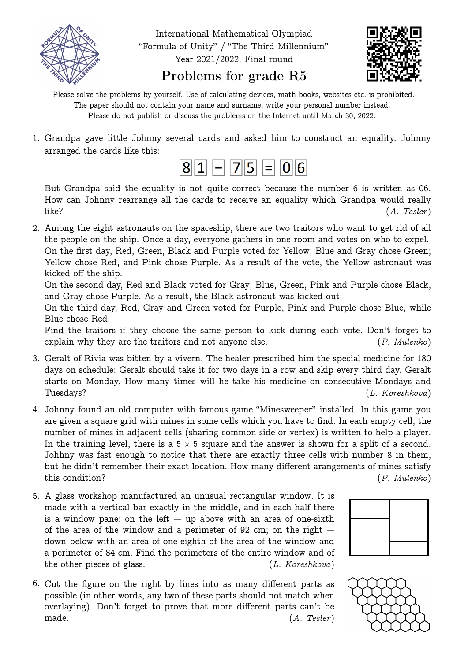

## Problems for grade R5

Please solve the problems by yourself. Use of calculating devices, math books, websites etc. is prohibited. The paper should not contain your name and surname, write your personal number instead. Please do not publish or discuss the problems on the Internet until March 30, 2022.

1. Grandpa gave little Johnny several cards and asked him to construct an equality. Johnny arranged the cards like this:



But Grandpa said the equality is not quite correct because the number 6 is written as 06. How can Johnny rearrange all the cards to receive an equality which Grandpa would really like? (A. Tesler )

2. Among the eight astronauts on the spaceship, there are two traitors who want to get rid of all the people on the ship. Once a day, everyone gathers in one room and votes on who to expel. On the first day, Red, Green, Black and Purple voted for Yellow; Blue and Gray chose Green; Yellow chose Red, and Pink chose Purple. As a result of the vote, the Yellow astronaut was

kicked off the ship. On the second day, Red and Black voted for Gray; Blue, Green, Pink and Purple chose Black, and Gray chose Purple. As a result, the Black astronaut was kicked out.

On the third day, Red, Gray and Green voted for Purple, Pink and Purple chose Blue, while Blue chose Red.

Find the traitors if they choose the same person to kick during each vote. Don't forget to explain why they are the traitors and not anyone else. (P. Mulenko)

- 3. Geralt of Rivia was bitten by a vivern. The healer prescribed him the special medicine for 180 days on schedule: Geralt should take it for two days in a row and skip every third day. Geralt starts on Monday. How many times will he take his medicine on consecutive Mondays and Tuesdays? (L. Koreshkova)
- 4. Johnny found an old computer with famous game "Minesweeper" installed. In this game you are given a square grid with mines in some cells which you have to find. In each empty cell, the number of mines in adjacent cells (sharing common side or vertex) is written to help a player. In the training level, there is a  $5 \times 5$  square and the answer is shown for a split of a second. Johhny was fast enough to notice that there are exactly three cells with number 8 in them, but he didn't remember their exact location. How many different arangements of mines satisfy this condition? (P. Mulenko)
- 5. A glass workshop manufactured an unusual rectangular window. It is made with a vertical bar exactly in the middle, and in each half there is a window pane: on the left  $-$  up above with an area of one-sixth of the area of the window and a perimeter of 92 cm; on the right  $$ down below with an area of one-eighth of the area of the window and a perimeter of 84 cm. Find the perimeters of the entire window and of the other pieces of glass. (L. Koreshkova)
- 6. Cut the figure on the right by lines into as many different parts as possible (in other words, any two of these parts should not match when overlaying). Don't forget to prove that more different parts can't be made.  $(A. Tester)$



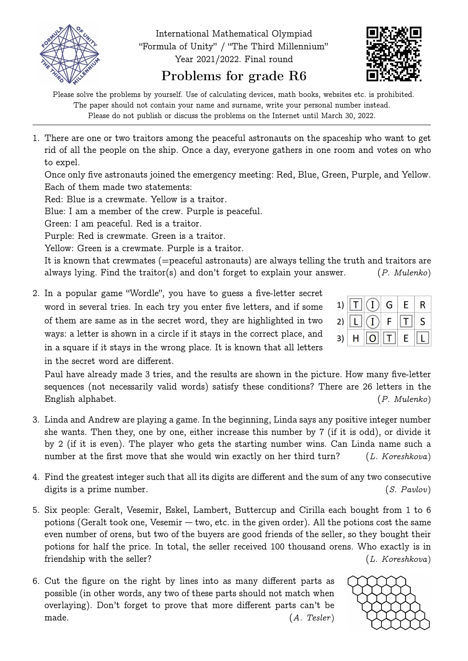

Problems for grade R6

Please solve the problems by yourself. Use of calculating devices, math books, websites etc. is prohibited. The paper should not contain your name and surname, write your personal number instead. Please do not publish or discuss the problems on the Internet until March 30, 2022.

1. There are one or two traitors among the peaceful astronauts on the spaceship who want to get rid of all the people on the ship. Once a day, everyone gathers in one room and votes on who to expel.

Once only five astronauts joined the emergency meeting: Red, Blue, Green, Purple, and Yellow. Each of them made two statements:

Red: Blue is a crewmate. Yellow is a traitor.

Blue: I am a member of the crew. Purple is peaceful.

Green: I am peaceful. Red is a traitor.

Purple: Red is crewmate. Green is a traitor.

Yellow: Green is a crewmate. Purple is a traitor.

It is known that crewmates (=peaceful astronauts) are always telling the truth and traitors are always lying. Find the traitor(s) and don't forget to explain your answer. (P. Mulenko)

2. In a popular game "Wordle", you have to guess a five-letter secret word in several tries. In each try you enter five letters, and if some of them are same as in the secret word, they are highlighted in two ways: a letter is shown in a circle if it stays in the correct place, and in a square if it stays in the wrong place. It is known that all letters in the secret word are different.

Paul have already made 3 tries, and the results are shown in the picture. How many five-letter sequences (not necessarily valid words) satisfy these conditions? There are 26 letters in the English alphabet. (P. Mulenko)

- 3. Linda and Andrew are playing a game. In the beginning, Linda says any positive integer number she wants. Then they, one by one, either increase this number by 7 (if it is odd), or divide it by 2 (if it is even). The player who gets the starting number wins. Can Linda name such a number at the first move that she would win exactly on her third turn? (L. Koreshkova)
- 4. Find the greatest integer such that all its digits are different and the sum of any two consecutive digits is a prime number. (S. Pavlov)
- 5. Six people: Geralt, Vesemir, Eskel, Lambert, Buttercup and Cirilla each bought from 1 to 6 potions (Geralt took one, Vesemir — two, etc. in the given order). All the potions cost the same even number of orens, but two of the buyers are good friends of the seller, so they bought their potions for half the price. In total, the seller received 100 thousand orens. Who exactly is in friendship with the seller? (L. Koreshkova)
- 6. Cut the figure on the right by lines into as many different parts as possible (in other words, any two of these parts should not match when overlaying). Don't forget to prove that more different parts can't be made.  $(A. Tester)$



|  | 1) $\boxed{\text{T}}\left \left(\text{I}\right)\right $ G | $\in$ E $^+$ | $\mathsf R$ |
|--|-----------------------------------------------------------|--------------|-------------|
|  | 2) $\boxed{L}$ $\boxed{I}$ $F$ $\boxed{T}$                |              | S           |
|  | 3)   H   <mark>O </mark>   T  E                           |              |             |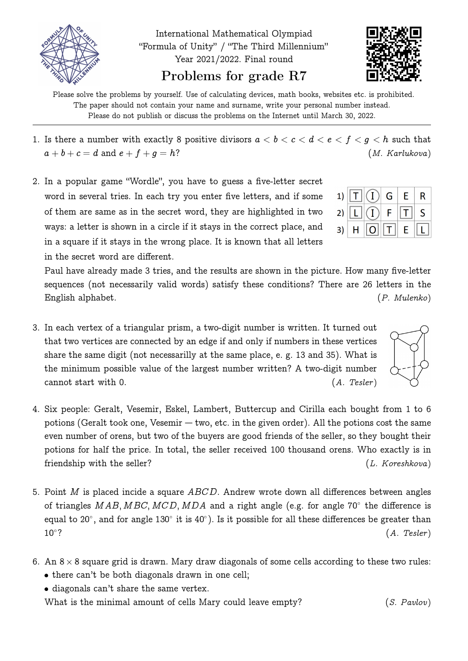



Please solve the problems by yourself. Use of calculating devices, math books, websites etc. is prohibited. The paper should not contain your name and surname, write your personal number instead. Please do not publish or discuss the problems on the Internet until March 30, 2022.

- 1. Is there a number with exactly 8 positive divisors  $a < b < c < d < e < f < g < h$  such that  $a + b + c = d$  and  $e + f + g = h$ ? (*M. Karlukova*)
- 2. In a popular game "Wordle", you have to guess a five-letter secret word in several tries. In each try you enter five letters, and if some of them are same as in the secret word, they are highlighted in two ways: a letter is shown in a circle if it stays in the correct place, and in a square if it stays in the wrong place. It is known that all letters in the secret word are different.

Paul have already made 3 tries, and the results are shown in the picture. How many five-letter sequences (not necessarily valid words) satisfy these conditions? There are 26 letters in the English alphabet. (P. Mulenko)

- 3. In each vertex of a triangular prism, a two-digit number is written. It turned out that two vertices are connected by an edge if and only if numbers in these vertices share the same digit (not necessarilly at the same place, e. g. 13 and 35). What is the minimum possible value of the largest number written? A two-digit number cannot start with 0. (A. Tesler)
- 4. Six people: Geralt, Vesemir, Eskel, Lambert, Buttercup and Cirilla each bought from 1 to 6 potions (Geralt took one, Vesemir — two, etc. in the given order). All the potions cost the same even number of orens, but two of the buyers are good friends of the seller, so they bought their potions for half the price. In total, the seller received 100 thousand orens. Who exactly is in friendship with the seller? (L. Koreshkova)
- 5. Point M is placed incide a square  $ABCD$ . Andrew wrote down all differences between angles of triangles  $MAB, MBC, MCD, MDA$  and a right angle (e.g. for angle 70° the difference is equal to 20°, and for angle 130° it is 40°). Is it possible for all these differences be greater than  $10^{\circ}$ ?  $(A.$  Tesler)
- 6. An 8  $\times$  8 square grid is drawn. Mary draw diagonals of some cells according to these two rules: • there can't be both diagonals drawn in one cell;
	- diagonals can't share the same vertex.

What is the minimal amount of cells Mary could leave empty? (S. Pavlov)

|  | 1) $\boxed{\text{T}}$ $\boxed{\text{O}}$ $\boxed{\text{G}}$ $\boxed{\text{E}}$ $\boxed{\text{R}}$ |  |  |
|--|---------------------------------------------------------------------------------------------------|--|--|
|  | 2) $\boxed{L}$ $\boxed{I}$ $F$ $\boxed{T}$ $S$                                                    |  |  |
|  | 3) $\mid H \mid 0 \mid T \mid E \mid L$                                                           |  |  |

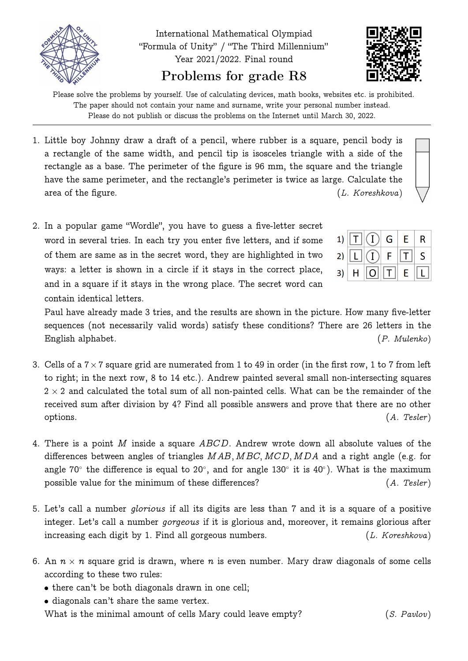



Please solve the problems by yourself. Use of calculating devices, math books, websites etc. is prohibited. The paper should not contain your name and surname, write your personal number instead. Please do not publish or discuss the problems on the Internet until March 30, 2022.

- 1. Little boy Johnny draw a draft of a pencil, where rubber is a square, pencil body is a rectangle of the same width, and pencil tip is isosceles triangle with a side of the rectangle as a base. The perimeter of the figure is 96 mm, the square and the triangle have the same perimeter, and the rectangle's perimeter is twice as large. Calculate the area of the figure.  $(L. Koresh kova)$
- 2. In a popular game "Wordle", you have to guess a five-letter secret word in several tries. In each try you enter five letters, and if some of them are same as in the secret word, they are highlighted in two ways: a letter is shown in a circle if it stays in the correct place, and in a square if it stays in the wrong place. The secret word can contain identical letters.

|  | 1) $\boxed{\text{T}}$ $\boxed{\text{O}}$ $\boxed{\text{G}}$ $\boxed{\text{E}}$ $\boxed{\text{R}}$ |  |                                                                                                     |
|--|---------------------------------------------------------------------------------------------------|--|-----------------------------------------------------------------------------------------------------|
|  | 2) $\boxed{L}$ $\boxed{I}$ $F$ $\boxed{T}$ $S$                                                    |  |                                                                                                     |
|  |                                                                                                   |  | 3) $\mid$ H $\mid$ $\boxed{\text{O}}$ $\mid$ $\text{T}$ $\mid$ $\epsilon$ $\mid$ $\boxed{\text{L}}$ |

Paul have already made 3 tries, and the results are shown in the picture. How many five-letter sequences (not necessarily valid words) satisfy these conditions? There are 26 letters in the English alphabet. (P. Mulenko)

- 3. Cells of a  $7\times7$  square grid are numerated from 1 to 49 in order (in the first row, 1 to 7 from left to right; in the next row, 8 to 14 etc.). Andrew painted several small non-intersecting squares  $2 \times 2$  and calculated the total sum of all non-painted cells. What can be the remainder of the received sum after division by 4? Find all possible answers and prove that there are no other options. (A. Tesler)
- 4. There is a point M inside a square ABCD. Andrew wrote down all absolute values of the differences between angles of triangles  $MAB$ ,  $MBC$ ,  $MCD$ ,  $MDA$  and a right angle (e.g. for angle 70° the difference is equal to 20°, and for angle 130° it is 40°). What is the maximum possible value for the minimum of these differences? (A. Tesler)
- 5. Let's call a number glorious if all its digits are less than 7 and it is a square of a positive integer. Let's call a number *gorgeous* if it is glorious and, moreover, it remains glorious after increasing each digit by 1. Find all gorgeous numbers. (L. Koreshkova)
- 6. An  $n \times n$  square grid is drawn, where  $n$  is even number. Mary draw diagonals of some cells according to these two rules:
	- there can't be both diagonals drawn in one cell;
	- $\bullet$  diagonals can't share the same vertex.

What is the minimal amount of cells Mary could leave empty? (S. Pavlov)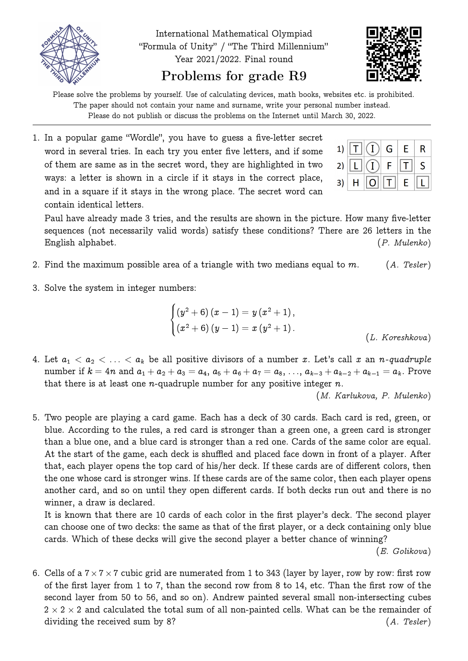



Please solve the problems by yourself. Use of calculating devices, math books, websites etc. is prohibited. The paper should not contain your name and surname, write your personal number instead. Please do not publish or discuss the problems on the Internet until March 30, 2022.

1. In a popular game "Wordle", you have to guess a five-letter secret word in several tries. In each try you enter five letters, and if some of them are same as in the secret word, they are highlighted in two ways: a letter is shown in a circle if it stays in the correct place, and in a square if it stays in the wrong place. The secret word can contain identical letters.

Paul have already made 3 tries, and the results are shown in the picture. How many five-letter sequences (not necessarily valid words) satisfy these conditions? There are 26 letters in the English alphabet. (P. Mulenko)

- 2. Find the maximum possible area of a triangle with two medians equal to  $m$ . (A. Tesler)
- 3. Solve the system in integer numbers:

$$
\begin{cases} \left(y^2+6\right)\left(x-1\right)=y\left(x^2+1\right), \\ \left(x^2+6\right)\left(y-1\right)=x\left(y^2+1\right). \end{cases} \qquad \qquad \text{\hskip 1cm} (L.~Koreshkova)
$$

4. Let  $a_1 < a_2 < \ldots < a_k$  be all positive divisors of a number x. Let's call x an n-quadruple number if  $k = 4n$  and  $a_1 + a_2 + a_3 = a_4$ ,  $a_5 + a_6 + a_7 = a_8$ , ...,  $a_{k-3} + a_{k-2} + a_{k-1} = a_k$ . Prove that there is at least one *n*-quadruple number for any positive integer  $n$ .

(M. Karlukova, P. Mulenko)

5. Two people are playing a card game. Each has a deck of 30 cards. Each card is red, green, or blue. According to the rules, a red card is stronger than a green one, a green card is stronger than a blue one, and a blue card is stronger than a red one. Cards of the same color are equal. At the start of the game, each deck is shuffled and placed face down in front of a player. After that, each player opens the top card of his/her deck. If these cards are of different colors, then the one whose card is stronger wins. If these cards are of the same color, then each player opens another card, and so on until they open different cards. If both decks run out and there is no winner, a draw is declared.

It is known that there are 10 cards of each color in the first player's deck. The second player can choose one of two decks: the same as that of the first player, or a deck containing only blue cards. Which of these decks will give the second player a better chance of winning?

(E. Golikova)

6. Cells of a  $7 \times 7 \times 7$  cubic grid are numerated from 1 to 343 (layer by layer, row by row: first row of the first layer from 1 to 7, than the second row from 8 to 14, etc. Than the first row of the second layer from 50 to 56, and so on). Andrew painted several small non-intersecting cubes  $2 \times 2 \times 2$  and calculated the total sum of all non-painted cells. What can be the remainder of dividing the received sum by 8? (A. Tesler)

|  | 1) $\boxed{T}$ $\boxed{()}$ G $\boxed{E}$ R                           |  |   |
|--|-----------------------------------------------------------------------|--|---|
|  | 2) $\boxed{\mathsf{L}}\boxed{\mathsf{\Omega}}$ F $\boxed{\mathsf{T}}$ |  | S |
|  | 3) $H$ $\boxed{O}$ $\boxed{T}$ E                                      |  |   |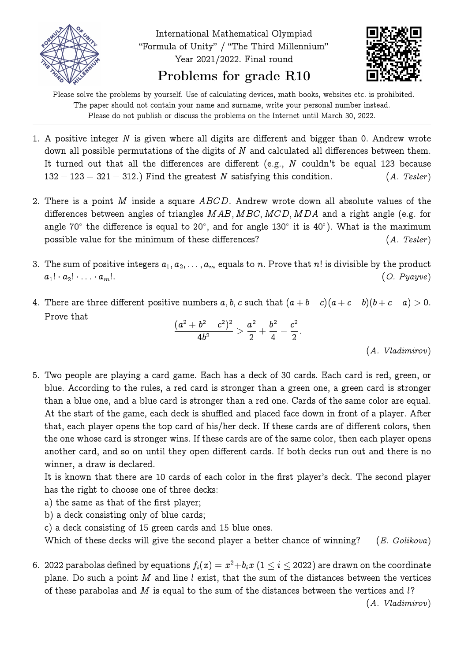



Please solve the problems by yourself. Use of calculating devices, math books, websites etc. is prohibited. The paper should not contain your name and surname, write your personal number instead. Please do not publish or discuss the problems on the Internet until March 30, 2022.

- 1. A positive integer  $N$  is given where all digits are different and bigger than 0. Andrew wrote down all possible permutations of the digits of  $N$  and calculated all differences between them. It turned out that all the differences are different (e.g., N couldn't be equal 123 because  $132 - 123 = 321 - 312$ .) Find the greatest N satisfying this condition. (A. Tesler)
- 2. There is a point M inside a square  $ABCD$ . Andrew wrote down all absolute values of the differences between angles of triangles  $MAB, MBC, MCD, MDA$  and a right angle (e.g. for angle 70° the difference is equal to 20°, and for angle 130° it is 40°). What is the maximum possible value for the minimum of these differences? (A. Tesler)
- 3. The sum of positive integers  $a_1, a_2, \ldots, a_m$  equals to n. Prove that n! is divisible by the product  $a_1! \cdot a_2! \cdot \ldots \cdot a_m!$ . (O. Pyayve)
- 4. There are three different positive numbers  $a, b, c$  such that  $(a + b c)(a + c b)(b + c a) > 0$ . Prove that

$$
\frac{(a^2+b^2-c^2)^2}{4b^2} > \frac{a^2}{2} + \frac{b^2}{4} - \frac{c^2}{2}.
$$

(A. Vladimirov)

5. Two people are playing a card game. Each has a deck of 30 cards. Each card is red, green, or blue. According to the rules, a red card is stronger than a green one, a green card is stronger than a blue one, and a blue card is stronger than a red one. Cards of the same color are equal. At the start of the game, each deck is shuffled and placed face down in front of a player. After that, each player opens the top card of his/her deck. If these cards are of different colors, then the one whose card is stronger wins. If these cards are of the same color, then each player opens another card, and so on until they open different cards. If both decks run out and there is no winner, a draw is declared.

It is known that there are 10 cards of each color in the first player's deck. The second player has the right to choose one of three decks:

- a) the same as that of the first player;
- b) a deck consisting only of blue cards;
- c) a deck consisting of 15 green cards and 15 blue ones.

Which of these decks will give the second player a better chance of winning? (E. Golikova)

6. 2022 parabolas defined by equations  $f_i(x) = x^2 + b_i x$   $(1 \leq i \leq$  2022) are drawn on the coordinate plane. Do such a point  $M$  and line  $l$  exist, that the sum of the distances between the vertices of these parabolas and  $M$  is equal to the sum of the distances between the vertices and  $l$ ?

(A. Vladimirov)